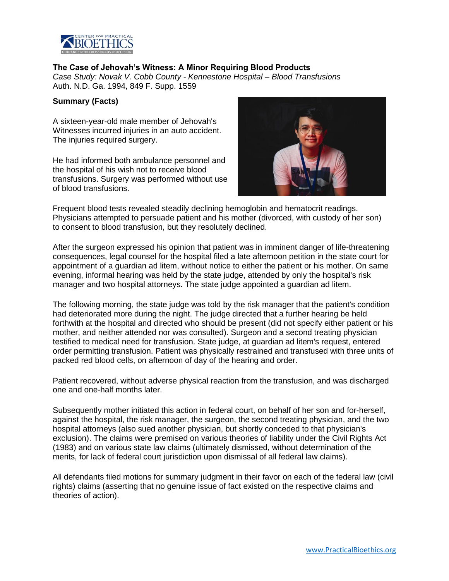

### **The Case of Jehovah's Witness: A Minor Requiring Blood Products**

*Case Study: Novak V. Cobb County - Kennestone Hospital – Blood Transfusions* Auth. N.D. Ga. 1994, 849 F. Supp. 1559

### **Summary (Facts)**

A sixteen-year-old male member of Jehovah's Witnesses incurred injuries in an auto accident. The injuries required surgery.

He had informed both ambulance personnel and the hospital of his wish not to receive blood transfusions. Surgery was performed without use of blood transfusions.



Frequent blood tests revealed steadily declining hemoglobin and hematocrit readings. Physicians attempted to persuade patient and his mother (divorced, with custody of her son) to consent to blood transfusion, but they resolutely declined.

After the surgeon expressed his opinion that patient was in imminent danger of life-threatening consequences, legal counsel for the hospital filed a late afternoon petition in the state court for appointment of a guardian ad litem, without notice to either the patient or his mother. On same evening, informal hearing was held by the state judge, attended by only the hospital's risk manager and two hospital attorneys. The state judge appointed a guardian ad litem.

The following morning, the state judge was told by the risk manager that the patient's condition had deteriorated more during the night. The judge directed that a further hearing be held forthwith at the hospital and directed who should be present (did not specify either patient or his mother, and neither attended nor was consulted). Surgeon and a second treating physician testified to medical need for transfusion. State judge, at guardian ad litem's request, entered order permitting transfusion. Patient was physically restrained and transfused with three units of packed red blood cells, on afternoon of day of the hearing and order.

Patient recovered, without adverse physical reaction from the transfusion, and was discharged one and one-half months later.

Subsequently mother initiated this action in federal court, on behalf of her son and for-herself, against the hospital, the risk manager, the surgeon, the second treating physician, and the two hospital attorneys (also sued another physician, but shortly conceded to that physician's exclusion). The claims were premised on various theories of liability under the Civil Rights Act (1983) and on various state law claims (ultimately dismissed, without determination of the merits, for lack of federal court jurisdiction upon dismissal of all federal law claims).

All defendants filed motions for summary judgment in their favor on each of the federal law (civil rights) claims (asserting that no genuine issue of fact existed on the respective claims and theories of action).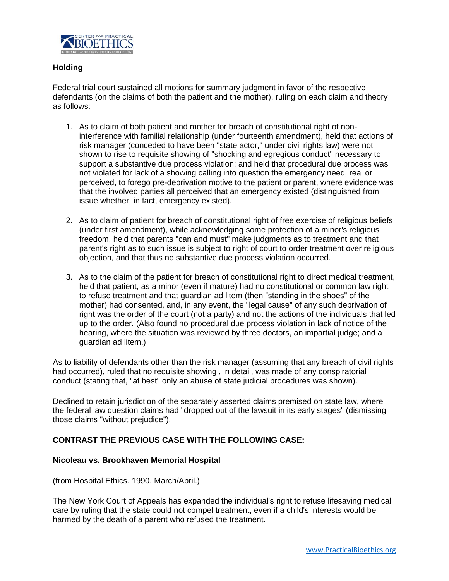

## **Holding**

Federal trial court sustained all motions for summary judgment in favor of the respective defendants (on the claims of both the patient and the mother), ruling on each claim and theory as follows:

- 1. As to claim of both patient and mother for breach of constitutional right of noninterference with familial relationship (under fourteenth amendment), held that actions of risk manager (conceded to have been "state actor," under civil rights law) were not shown to rise to requisite showing of "shocking and egregious conduct" necessary to support a substantive due process violation; and held that procedural due process was not violated for lack of a showing calling into question the emergency need, real or perceived, to forego pre-deprivation motive to the patient or parent, where evidence was that the involved parties all perceived that an emergency existed (distinguished from issue whether, in fact, emergency existed).
- 2. As to claim of patient for breach of constitutional right of free exercise of religious beliefs (under first amendment), while acknowledging some protection of a minor's religious freedom, held that parents "can and must" make judgments as to treatment and that parent's right as to such issue is subject to right of court to order treatment over religious objection, and that thus no substantive due process violation occurred.
- 3. As to the claim of the patient for breach of constitutional right to direct medical treatment, held that patient, as a minor (even if mature) had no constitutional or common law right to refuse treatment and that guardian ad litem (then "standing in the shoes" of the mother) had consented, and, in any event, the "legal cause" of any such deprivation of right was the order of the court (not a party) and not the actions of the individuals that led up to the order. (Also found no procedural due process violation in lack of notice of the hearing, where the situation was reviewed by three doctors, an impartial judge; and a guardian ad litem.)

As to liability of defendants other than the risk manager (assuming that any breach of civil rights had occurred), ruled that no requisite showing , in detail, was made of any conspiratorial conduct (stating that, "at best" only an abuse of state judicial procedures was shown).

Declined to retain jurisdiction of the separately asserted claims premised on state law, where the federal law question claims had "dropped out of the lawsuit in its early stages" (dismissing those claims "without prejudice").

## **CONTRAST THE PREVIOUS CASE WITH THE FOLLOWING CASE:**

### **Nicoleau vs. Brookhaven Memorial Hospital**

(from Hospital Ethics. 1990. March/April.)

The New York Court of Appeals has expanded the individual's right to refuse lifesaving medical care by ruling that the state could not compel treatment, even if a child's interests would be harmed by the death of a parent who refused the treatment.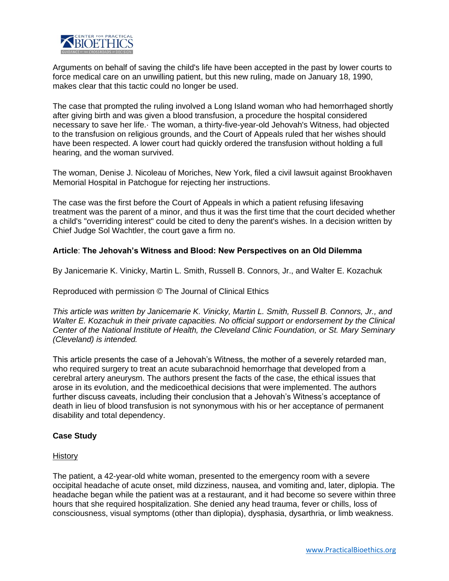

Arguments on behalf of saving the child's life have been accepted in the past by lower courts to force medical care on an unwilling patient, but this new ruling, made on January 18, 1990, makes clear that this tactic could no longer be used.

The case that prompted the ruling involved a Long Island woman who had hemorrhaged shortly after giving birth and was given a blood transfusion, a procedure the hospital considered necessary to save her life.· The woman, a thirty-five-year-old Jehovah's Witness, had objected to the transfusion on religious grounds, and the Court of Appeals ruled that her wishes should have been respected. A lower court had quickly ordered the transfusion without holding a full hearing, and the woman survived.

The woman, Denise J. Nicoleau of Moriches, New York, filed a civil lawsuit against Brookhaven Memorial Hospital in Patchogue for rejecting her instructions.

The case was the first before the Court of Appeals in which a patient refusing lifesaving treatment was the parent of a minor, and thus it was the first time that the court decided whether a child's "overriding interest" could be cited to deny the parent's wishes. In a decision written by Chief Judge Sol Wachtler, the court gave a firm no.

## **Article**: **The Jehovah's Witness and Blood: New Perspectives on an Old Dilemma**

By Janicemarie K. Vinicky, Martin L. Smith, Russell B. Connors, Jr., and Walter E. Kozachuk

Reproduced with permission © The Journal of Clinical Ethics

*This article was written by Janicemarie K. Vinicky, Martin L. Smith, Russell B. Connors, Jr., and Walter E. Kozachuk in their private capacities. No official support or endorsement by the Clinical Center of the National Institute of Health, the Cleveland Clinic Foundation, or St. Mary Seminary (Cleveland) is intended.*

This article presents the case of a Jehovah's Witness, the mother of a severely retarded man, who required surgery to treat an acute subarachnoid hemorrhage that developed from a cerebral artery aneurysm. The authors present the facts of the case, the ethical issues that arose in its evolution, and the medicoethical decisions that were implemented. The authors further discuss caveats, including their conclusion that a Jehovah's Witness's acceptance of death in lieu of blood transfusion is not synonymous with his or her acceptance of permanent disability and total dependency.

### **Case Study**

#### **History**

The patient, a 42-year-old white woman, presented to the emergency room with a severe occipital headache of acute onset, mild dizziness, nausea, and vomiting and, later, diplopia. The headache began while the patient was at a restaurant, and it had become so severe within three hours that she required hospitalization. She denied any head trauma, fever or chills, loss of consciousness, visual symptoms (other than diplopia), dysphasia, dysarthria, or limb weakness.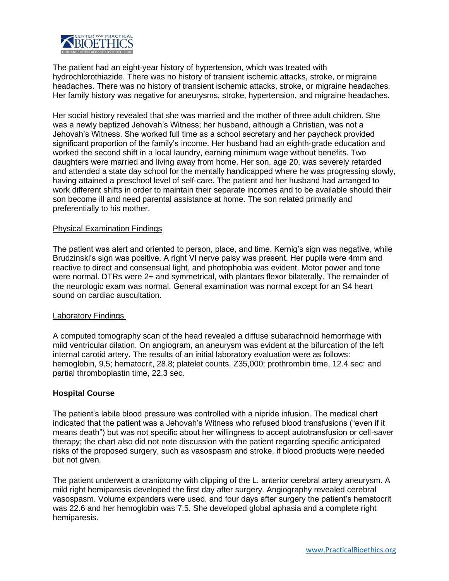

The patient had an eight-year history of hypertension, which was treated with hydrochlorothiazide. There was no history of transient ischemic attacks, stroke, or migraine headaches. There was no history of transient ischemic attacks, stroke, or migraine headaches. Her family history was negative for aneurysms, stroke, hypertension, and migraine headaches.

Her social history revealed that she was married and the mother of three adult children. She was a newly baptized Jehovah's Witness; her husband, although a Christian, was not a Jehovah's Witness. She worked full time as a school secretary and her paycheck provided significant proportion of the family's income. Her husband had an eighth-grade education and worked the second shift in a local laundry, earning minimum wage without benefits. Two daughters were married and living away from home. Her son, age 20, was severely retarded and attended a state day school for the mentally handicapped where he was progressing slowly, having attained a preschool level of self-care. The patient and her husband had arranged to work different shifts in order to maintain their separate incomes and to be available should their son become ill and need parental assistance at home. The son related primarily and preferentially to his mother.

### Physical Examination Findings

The patient was alert and oriented to person, place, and time. Kernig's sign was negative, while Brudzinski's sign was positive. A right VI nerve palsy was present. Her pupils were 4mm and reactive to direct and consensual light, and photophobia was evident. Motor power and tone were normal. DTRs were 2+ and symmetrical, with plantars flexor bilaterally. The remainder of the neurologic exam was normal. General examination was normal except for an S4 heart sound on cardiac auscultation.

### Laboratory Findings

A computed tomography scan of the head revealed a diffuse subarachnoid hemorrhage with mild ventricular dilation. On angiogram, an aneurysm was evident at the bifurcation of the left internal carotid artery. The results of an initial laboratory evaluation were as follows: hemoglobin, 9.5; hematocrit, 28.8; platelet counts, Z35,000; prothrombin time, 12.4 sec; and partial thromboplastin time, 22.3 sec.

### **Hospital Course**

The patient's labile blood pressure was controlled with a nipride infusion. The medical chart indicated that the patient was a Jehovah's Witness who refused blood transfusions ("even if it means death") but was not specific about her willingness to accept autotransfusion or cell-saver therapy; the chart also did not note discussion with the patient regarding specific anticipated risks of the proposed surgery, such as vasospasm and stroke, if blood products were needed but not given.

The patient underwent a craniotomy with clipping of the L. anterior cerebral artery aneurysm. A mild right hemiparesis developed the first day after surgery. Angiography revealed cerebral vasospasm. Volume expanders were used, and four days after surgery the patient's hematocrit was 22.6 and her hemoglobin was 7.5. She developed global aphasia and a complete right hemiparesis.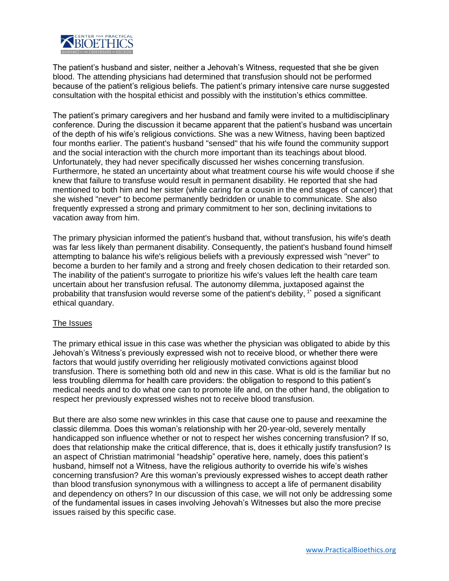

The patient's husband and sister, neither a Jehovah's Witness, requested that she be given blood. The attending physicians had determined that transfusion should not be performed because of the patient's religious beliefs. The patient's primary intensive care nurse suggested consultation with the hospital ethicist and possibly with the institution's ethics committee.

The patient's primary caregivers and her husband and family were invited to a multidisciplinary conference. During the discussion it became apparent that the patient's husband was uncertain of the depth of his wife's religious convictions. She was a new Witness, having been baptized four months earlier. The patient's husband "sensed" that his wife found the community support and the social interaction with the church more important than its teachings about blood. Unfortunately, they had never specifically discussed her wishes concerning transfusion. Furthermore, he stated an uncertainty about what treatment course his wife would choose if she knew that failure to transfuse would result in permanent disability. He reported that she had mentioned to both him and her sister (while caring for a cousin in the end stages of cancer) that she wished "never" to become permanently bedridden or unable to communicate. She also frequently expressed a strong and primary commitment to her son, declining invitations to vacation away from him.

The primary physician informed the patient's husband that, without transfusion, his wife's death was far less likely than permanent disability. Consequently, the patient's husband found himself attempting to balance his wife's religious beliefs with a previously expressed wish "never" to become a burden to her family and a strong and freely chosen dedication to their retarded son. The inability of the patient's surrogate to prioritize his wife's values left the health care team uncertain about her transfusion refusal. The autonomy dilemma, juxtaposed against the probability that transfusion would reverse some of the patient's debility, 1\* posed a significant ethical quandary.

### The Issues

The primary ethical issue in this case was whether the physician was obligated to abide by this Jehovah's Witness's previously expressed wish not to receive blood, or whether there were factors that would justify overriding her religiously motivated convictions against blood transfusion. There is something both old and new in this case. What is old is the familiar but no less troubling dilemma for health care providers: the obligation to respond to this patient's medical needs and to do what one can to promote life and, on the other hand, the obligation to respect her previously expressed wishes not to receive blood transfusion.

But there are also some new wrinkles in this case that cause one to pause and reexamine the classic dilemma. Does this woman's relationship with her 20-year-old, severely mentally handicapped son influence whether or not to respect her wishes concerning transfusion? If so, does that relationship make the critical difference, that is, does it ethically justify transfusion? Is an aspect of Christian matrimonial "headship" operative here, namely, does this patient's husband, himself not a Witness, have the religious authority to override his wife's wishes concerning transfusion? Are this woman's previously expressed wishes to accept death rather than blood transfusion synonymous with a willingness to accept a life of permanent disability and dependency on others? In our discussion of this case, we will not only be addressing some of the fundamental issues in cases involving Jehovah's Witnesses but also the more precise issues raised by this specific case.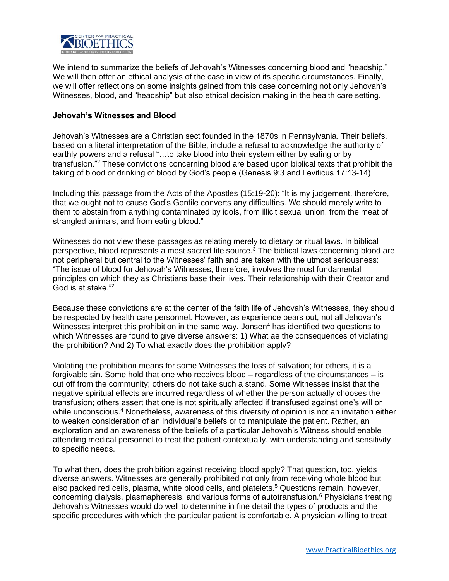

We intend to summarize the beliefs of Jehovah's Witnesses concerning blood and "headship." We will then offer an ethical analysis of the case in view of its specific circumstances. Finally, we will offer reflections on some insights gained from this case concerning not only Jehovah's Witnesses, blood, and "headship" but also ethical decision making in the health care setting.

### **Jehovah's Witnesses and Blood**

Jehovah's Witnesses are a Christian sect founded in the 1870s in Pennsylvania. Their beliefs, based on a literal interpretation of the Bible, include a refusal to acknowledge the authority of earthly powers and a refusal "…to take blood into their system either by eating or by transfusion."<sup>2</sup> These convictions concerning blood are based upon biblical texts that prohibit the taking of blood or drinking of blood by God's people (Genesis 9:3 and Leviticus 17:13-14)

Including this passage from the Acts of the Apostles (15:19-20): "It is my judgement, therefore, that we ought not to cause God's Gentile converts any difficulties. We should merely write to them to abstain from anything contaminated by idols, from illicit sexual union, from the meat of strangled animals, and from eating blood."

Witnesses do not view these passages as relating merely to dietary or ritual laws. In biblical perspective, blood represents a most sacred life source.<sup>3</sup> The biblical laws concerning blood are not peripheral but central to the Witnesses' faith and are taken with the utmost seriousness: "The issue of blood for Jehovah's Witnesses, therefore, involves the most fundamental principles on which they as Christians base their lives. Their relationship with their Creator and God is at stake."<sup>2</sup>

Because these convictions are at the center of the faith life of Jehovah's Witnesses, they should be respected by health care personnel. However, as experience bears out, not all Jehovah's Witnesses interpret this prohibition in the same way. Jonsen $4$  has identified two questions to which Witnesses are found to give diverse answers: 1) What ae the consequences of violating the prohibition? And 2) To what exactly does the prohibition apply?

Violating the prohibition means for some Witnesses the loss of salvation; for others, it is a forgivable sin. Some hold that one who receives blood – regardless of the circumstances – is cut off from the community; others do not take such a stand. Some Witnesses insist that the negative spiritual effects are incurred regardless of whether the person actually chooses the transfusion; others assert that one is not spiritually affected if transfused against one's will or while unconscious.<sup>4</sup> Nonetheless, awareness of this diversity of opinion is not an invitation either to weaken consideration of an individual's beliefs or to manipulate the patient. Rather, an exploration and an awareness of the beliefs of a particular Jehovah's Witness should enable attending medical personnel to treat the patient contextually, with understanding and sensitivity to specific needs.

To what then, does the prohibition against receiving blood apply? That question, too, yields diverse answers. Witnesses are generally prohibited not only from receiving whole blood but also packed red cells, plasma, white blood cells, and platelets.<sup>5</sup> Questions remain, however, concerning dialysis, plasmapheresis, and various forms of autotransfusion.<sup>6</sup> Physicians treating Jehovah's Witnesses would do well to determine in fine detail the types of products and the specific procedures with which the particular patient is comfortable. A physician willing to treat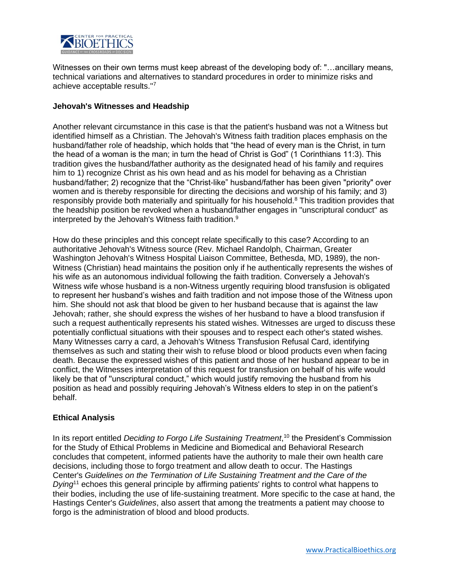

Witnesses on their own terms must keep abreast of the developing body of: "…ancillary means, technical variations and alternatives to standard procedures in order to minimize risks and achieve acceptable results.''<sup>7</sup>

## **Jehovah's Witnesses and Headship**

Another relevant circumstance in this case is that the patient's husband was not a Witness but identified himself as a Christian. The Jehovah's Witness faith tradition places emphasis on the husband/father role of headship, which holds that "the head of every man is the Christ, in turn the head of a woman is the man; in turn the head of Christ is God" (1 Corinthians 11:3). This tradition gives the husband/father authority as the designated head of his family and requires him to 1) recognize Christ as his own head and as his model for behaving as a Christian husband/father; 2) recognize that the "Christ-like" husband/father has been given "priority" over women and is thereby responsible for directing the decisions and worship of his family; and 3) responsibly provide both materially and spiritually for his household.<sup>8</sup> This tradition provides that the headship position be revoked when a husband/father engages in "unscriptural conduct" as interpreted by the Jehovah's Witness faith tradition.<sup>9</sup>

How do these principles and this concept relate specifically to this case? According to an authoritative Jehovah's Witness source (Rev. Michael Randolph, Chairman, Greater Washington Jehovah's Witness Hospital Liaison Committee, Bethesda, MD, 1989), the non-Witness (Christian) head maintains the position only if he authentically represents the wishes of his wife as an autonomous individual following the faith tradition. Conversely a Jehovah's Witness wife whose husband is a non-Witness urgently requiring blood transfusion is obligated to represent her husband's wishes and faith tradition and not impose those of the Witness upon him. She should not ask that blood be given to her husband because that is against the law Jehovah; rather, she should express the wishes of her husband to have a blood transfusion if such a request authentically represents his stated wishes. Witnesses are urged to discuss these potentially conflictual situations with their spouses and to respect each other's stated wishes. Many Witnesses carry a card, a Jehovah's Witness Transfusion Refusal Card, identifying themselves as such and stating their wish to refuse blood or blood products even when facing death. Because the expressed wishes of this patient and those of her husband appear to be in conflict, the Witnesses interpretation of this request for transfusion on behalf of his wife would likely be that of ''unscriptural conduct," which would justify removing the husband from his position as head and possibly requiring Jehovah's Witness elders to step in on the patient's behalf.

## **Ethical Analysis**

In its report entitled *Deciding to Forgo Life Sustaining Treatment*, <sup>10</sup> the President's Commission for the Study of Ethical Problems in Medicine and Biomedical and Behavioral Research concludes that competent, informed patients have the authority to male their own health care decisions, including those to forgo treatment and allow death to occur. The Hastings Center's *Guidelines on the Termination of Life Sustaining Treatment and the Care of the Dying*<sup>11</sup> echoes this general principle by affirming patients' rights to control what happens to their bodies, including the use of life-sustaining treatment. More specific to the case at hand, the Hastings Center's *Guidelines*, also assert that among the treatments a patient may choose to forgo is the administration of blood and blood products.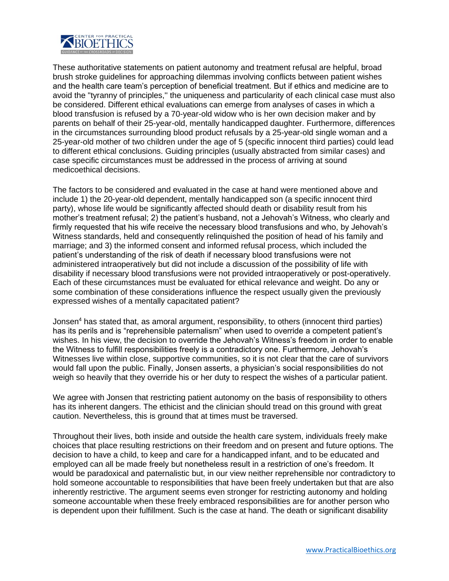

These authoritative statements on patient autonomy and treatment refusal are helpful, broad brush stroke guidelines for approaching dilemmas involving conflicts between patient wishes and the health care team's perception of beneficial treatment. But if ethics and medicine are to avoid the "tyranny of principles,'' the uniqueness and particularity of each clinical case must also be considered. Different ethical evaluations can emerge from analyses of cases in which a blood transfusion is refused by a 70-year-old widow who is her own decision maker and by parents on behalf of their 25-year-old, mentally handicapped daughter. Furthermore, differences in the circumstances surrounding blood product refusals by a 25-year-old single woman and a 25-year-old mother of two children under the age of 5 (specific innocent third parties) could lead to different ethical conclusions. Guiding principles (usually abstracted from similar cases) and case specific circumstances must be addressed in the process of arriving at sound medicoethical decisions.

The factors to be considered and evaluated in the case at hand were mentioned above and include 1) the 20-year-old dependent, mentally handicapped son (a specific innocent third party), whose life would be significantly affected should death or disability result from his mother's treatment refusal; 2) the patient's husband, not a Jehovah's Witness, who clearly and firmly requested that his wife receive the necessary blood transfusions and who, by Jehovah's Witness standards, held and consequently relinquished the position of head of his family and marriage; and 3) the informed consent and informed refusal process, which included the patient's understanding of the risk of death if necessary blood transfusions were not administered intraoperatively but did not include a discussion of the possibility of life with disability if necessary blood transfusions were not provided intraoperatively or post-operatively. Each of these circumstances must be evaluated for ethical relevance and weight. Do any or some combination of these considerations influence the respect usually given the previously expressed wishes of a mentally capacitated patient?

Jonsen<sup>4</sup> has stated that, as amoral argument, responsibility, to others (innocent third parties) has its perils and is "reprehensible paternalism" when used to override a competent patient's wishes. In his view, the decision to override the Jehovah's Witness's freedom in order to enable the Witness to fulfill responsibilities freely is a contradictory one. Furthermore, Jehovah's Witnesses live within close, supportive communities, so it is not clear that the care of survivors would fall upon the public. Finally, Jonsen asserts, a physician's social responsibilities do not weigh so heavily that they override his or her duty to respect the wishes of a particular patient.

We agree with Jonsen that restricting patient autonomy on the basis of responsibility to others has its inherent dangers. The ethicist and the clinician should tread on this ground with great caution. Nevertheless, this is ground that at times must be traversed.

Throughout their lives, both inside and outside the health care system, individuals freely make choices that place resulting restrictions on their freedom and on present and future options. The decision to have a child, to keep and care for a handicapped infant, and to be educated and employed can all be made freely but nonetheless result in a restriction of one's freedom. It would be paradoxical and paternalistic but, in our view neither reprehensible nor contradictory to hold someone accountable to responsibilities that have been freely undertaken but that are also inherently restrictive. The argument seems even stronger for restricting autonomy and holding someone accountable when these freely embraced responsibilities are for another person who is dependent upon their fulfillment. Such is the case at hand. The death or significant disability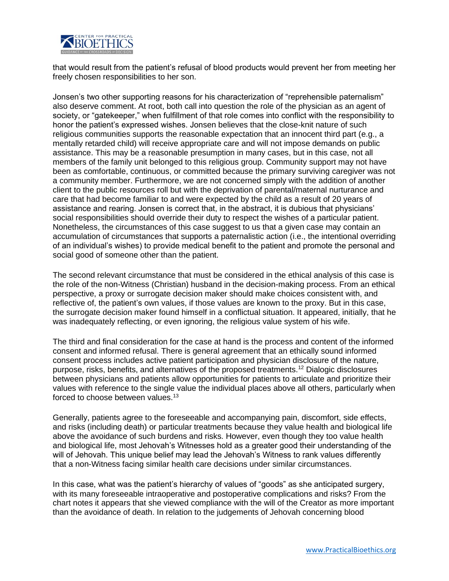

that would result from the patient's refusal of blood products would prevent her from meeting her freely chosen responsibilities to her son.

Jonsen's two other supporting reasons for his characterization of "reprehensible paternalism" also deserve comment. At root, both call into question the role of the physician as an agent of society, or "gatekeeper," when fulfillment of that role comes into conflict with the responsibility to honor the patient's expressed wishes. Jonsen believes that the close-knit nature of such religious communities supports the reasonable expectation that an innocent third part (e.g., a mentally retarded child) will receive appropriate care and will not impose demands on public assistance. This may be a reasonable presumption in many cases, but in this case, not all members of the family unit belonged to this religious group. Community support may not have been as comfortable, continuous, or committed because the primary surviving caregiver was not a community member. Furthermore, we are not concerned simply with the addition of another client to the public resources roll but with the deprivation of parental/maternal nurturance and care that had become familiar to and were expected by the child as a result of 20 years of assistance and rearing. Jonsen is correct that, in the abstract, it is dubious that physicians' social responsibilities should override their duty to respect the wishes of a particular patient. Nonetheless, the circumstances of this case suggest to us that a given case may contain an accumulation of circumstances that supports a paternalistic action (i.e., the intentional overriding of an individual's wishes) to provide medical benefit to the patient and promote the personal and social good of someone other than the patient.

The second relevant circumstance that must be considered in the ethical analysis of this case is the role of the non-Witness (Christian) husband in the decision-making process. From an ethical perspective, a proxy or surrogate decision maker should make choices consistent with, and reflective of, the patient's own values, if those values are known to the proxy. But in this case, the surrogate decision maker found himself in a conflictual situation. It appeared, initially, that he was inadequately reflecting, or even ignoring, the religious value system of his wife.

The third and final consideration for the case at hand is the process and content of the informed consent and informed refusal. There is general agreement that an ethically sound informed consent process includes active patient participation and physician disclosure of the nature, purpose, risks, benefits, and alternatives of the proposed treatments.<sup>12</sup> Dialogic disclosures between physicians and patients allow opportunities for patients to articulate and prioritize their values with reference to the single value the individual places above all others, particularly when forced to choose between values.<sup>13</sup>

Generally, patients agree to the foreseeable and accompanying pain, discomfort, side effects, and risks (including death) or particular treatments because they value health and biological life above the avoidance of such burdens and risks. However, even though they too value health and biological life, most Jehovah's Witnesses hold as a greater good their understanding of the will of Jehovah. This unique belief may lead the Jehovah's Witness to rank values differently that a non-Witness facing similar health care decisions under similar circumstances.

In this case, what was the patient's hierarchy of values of "goods" as she anticipated surgery, with its many foreseeable intraoperative and postoperative complications and risks? From the chart notes it appears that she viewed compliance with the will of the Creator as more important than the avoidance of death. In relation to the judgements of Jehovah concerning blood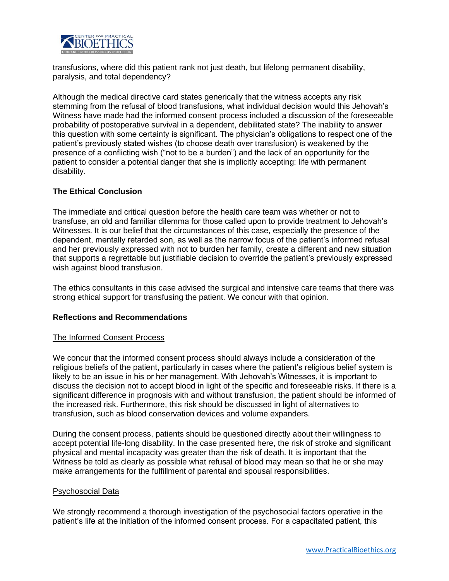

transfusions, where did this patient rank not just death, but lifelong permanent disability, paralysis, and total dependency?

Although the medical directive card states generically that the witness accepts any risk stemming from the refusal of blood transfusions, what individual decision would this Jehovah's Witness have made had the informed consent process included a discussion of the foreseeable probability of postoperative survival in a dependent, debilitated state? The inability to answer this question with some certainty is significant. The physician's obligations to respect one of the patient's previously stated wishes (to choose death over transfusion) is weakened by the presence of a conflicting wish ("not to be a burden") and the lack of an opportunity for the patient to consider a potential danger that she is implicitly accepting: life with permanent disability.

## **The Ethical Conclusion**

The immediate and critical question before the health care team was whether or not to transfuse, an old and familiar dilemma for those called upon to provide treatment to Jehovah's Witnesses. It is our belief that the circumstances of this case, especially the presence of the dependent, mentally retarded son, as well as the narrow focus of the patient's informed refusal and her previously expressed with not to burden her family, create a different and new situation that supports a regrettable but justifiable decision to override the patient's previously expressed wish against blood transfusion.

The ethics consultants in this case advised the surgical and intensive care teams that there was strong ethical support for transfusing the patient. We concur with that opinion.

### **Reflections and Recommendations**

### The Informed Consent Process

We concur that the informed consent process should always include a consideration of the religious beliefs of the patient, particularly in cases where the patient's religious belief system is likely to be an issue in his or her management. With Jehovah's Witnesses, it is important to discuss the decision not to accept blood in light of the specific and foreseeable risks. If there is a significant difference in prognosis with and without transfusion, the patient should be informed of the increased risk. Furthermore, this risk should be discussed in light of alternatives to transfusion, such as blood conservation devices and volume expanders.

During the consent process, patients should be questioned directly about their willingness to accept potential life-long disability. In the case presented here, the risk of stroke and significant physical and mental incapacity was greater than the risk of death. It is important that the Witness be told as clearly as possible what refusal of blood may mean so that he or she may make arrangements for the fulfillment of parental and spousal responsibilities.

### Psychosocial Data

We strongly recommend a thorough investigation of the psychosocial factors operative in the patient's life at the initiation of the informed consent process. For a capacitated patient, this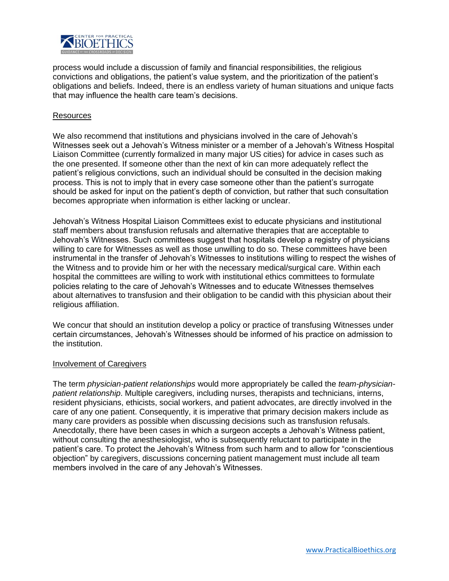

process would include a discussion of family and financial responsibilities, the religious convictions and obligations, the patient's value system, and the prioritization of the patient's obligations and beliefs. Indeed, there is an endless variety of human situations and unique facts that may influence the health care team's decisions.

### Resources

We also recommend that institutions and physicians involved in the care of Jehovah's Witnesses seek out a Jehovah's Witness minister or a member of a Jehovah's Witness Hospital Liaison Committee (currently formalized in many major US cities) for advice in cases such as the one presented. If someone other than the next of kin can more adequately reflect the patient's religious convictions, such an individual should be consulted in the decision making process. This is not to imply that in every case someone other than the patient's surrogate should be asked for input on the patient's depth of conviction, but rather that such consultation becomes appropriate when information is either lacking or unclear.

Jehovah's Witness Hospital Liaison Committees exist to educate physicians and institutional staff members about transfusion refusals and alternative therapies that are acceptable to Jehovah's Witnesses. Such committees suggest that hospitals develop a registry of physicians willing to care for Witnesses as well as those unwilling to do so. These committees have been instrumental in the transfer of Jehovah's Witnesses to institutions willing to respect the wishes of the Witness and to provide him or her with the necessary medical/surgical care. Within each hospital the committees are willing to work with institutional ethics committees to formulate policies relating to the care of Jehovah's Witnesses and to educate Witnesses themselves about alternatives to transfusion and their obligation to be candid with this physician about their religious affiliation.

We concur that should an institution develop a policy or practice of transfusing Witnesses under certain circumstances, Jehovah's Witnesses should be informed of his practice on admission to the institution.

### Involvement of Caregivers

The term *physician-patient relationships* would more appropriately be called the *team-physicianpatient relationship*. Multiple caregivers, including nurses, therapists and technicians, interns, resident physicians, ethicists, social workers, and patient advocates, are directly involved in the care of any one patient. Consequently, it is imperative that primary decision makers include as many care providers as possible when discussing decisions such as transfusion refusals. Anecdotally, there have been cases in which a surgeon accepts a Jehovah's Witness patient, without consulting the anesthesiologist, who is subsequently reluctant to participate in the patient's care. To protect the Jehovah's Witness from such harm and to allow for "conscientious objection" by caregivers, discussions concerning patient management must include all team members involved in the care of any Jehovah's Witnesses.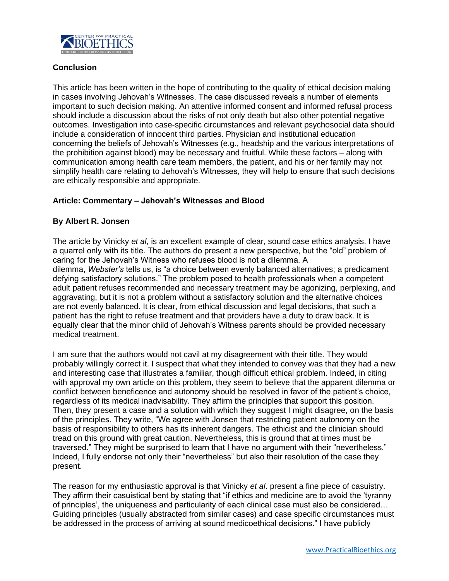

## **Conclusion**

This article has been written in the hope of contributing to the quality of ethical decision making in cases involving Jehovah's Witnesses. The case discussed reveals a number of elements important to such decision making. An attentive informed consent and informed refusal process should include a discussion about the risks of not only death but also other potential negative outcomes. Investigation into case-specific circumstances and relevant psychosocial data should include a consideration of innocent third parties. Physician and institutional education concerning the beliefs of Jehovah's Witnesses (e.g., headship and the various interpretations of the prohibition against blood) may be necessary and fruitful. While these factors – along with communication among health care team members, the patient, and his or her family may not simplify health care relating to Jehovah's Witnesses, they will help to ensure that such decisions are ethically responsible and appropriate.

## **Article: Commentary – Jehovah's Witnesses and Blood**

## **By Albert R. Jonsen**

The article by Vinicky *et al*, is an excellent example of clear, sound case ethics analysis. I have a quarrel only with its title. The authors do present a new perspective, but the "old" problem of caring for the Jehovah's Witness who refuses blood is not a dilemma. A dilemma, *Webster's* tells us, is "a choice between evenly balanced alternatives; a predicament defying satisfactory solutions." The problem posed to health professionals when a competent adult patient refuses recommended and necessary treatment may be agonizing, perplexing, and aggravating, but it is not a problem without a satisfactory solution and the alternative choices are not evenly balanced. It is clear, from ethical discussion and legal decisions, that such a patient has the right to refuse treatment and that providers have a duty to draw back. It is equally clear that the minor child of Jehovah's Witness parents should be provided necessary medical treatment.

I am sure that the authors would not cavil at my disagreement with their title. They would probably willingly correct it. I suspect that what they intended to convey was that they had a new and interesting case that illustrates a familiar, though difficult ethical problem. Indeed, in citing with approval my own article on this problem, they seem to believe that the apparent dilemma or conflict between beneficence and autonomy should be resolved in favor of the patient's choice, regardless of its medical inadvisability. They affirm the principles that support this position. Then, they present a case and a solution with which they suggest I might disagree, on the basis of the principles. They write, "We agree with Jonsen that restricting patient autonomy on the basis of responsibility to others has its inherent dangers. The ethicist and the clinician should tread on this ground with great caution. Nevertheless, this is ground that at times must be traversed." They might be surprised to learn that I have no argument with their "nevertheless." Indeed, I fully endorse not only their "nevertheless" but also their resolution of the case they present.

The reason for my enthusiastic approval is that Vinicky *et al*. present a fine piece of casuistry. They affirm their casuistical bent by stating that "if ethics and medicine are to avoid the 'tyranny of principles', the uniqueness and particularity of each clinical case must also be considered… Guiding principles (usually abstracted from similar cases) and case specific circumstances must be addressed in the process of arriving at sound medicoethical decisions." I have publicly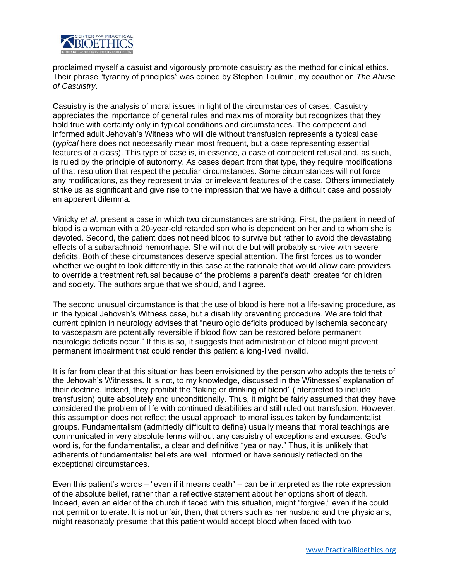

proclaimed myself a casuist and vigorously promote casuistry as the method for clinical ethics. Their phrase "tyranny of principles" was coined by Stephen Toulmin, my coauthor on *The Abuse of Casuistry*.

Casuistry is the analysis of moral issues in light of the circumstances of cases. Casuistry appreciates the importance of general rules and maxims of morality but recognizes that they hold true with certainty only in typical conditions and circumstances. The competent and informed adult Jehovah's Witness who will die without transfusion represents a typical case (*typical* here does not necessarily mean most frequent, but a case representing essential features of a class). This type of case is, in essence, a case of competent refusal and, as such, is ruled by the principle of autonomy. As cases depart from that type, they require modifications of that resolution that respect the peculiar circumstances. Some circumstances will not force any modifications, as they represent trivial or irrelevant features of the case. Others immediately strike us as significant and give rise to the impression that we have a difficult case and possibly an apparent dilemma.

Vinicky *et al*. present a case in which two circumstances are striking. First, the patient in need of blood is a woman with a 20-year-old retarded son who is dependent on her and to whom she is devoted. Second, the patient does not need blood to survive but rather to avoid the devastating effects of a subarachnoid hemorrhage. She will not die but will probably survive with severe deficits. Both of these circumstances deserve special attention. The first forces us to wonder whether we ought to look differently in this case at the rationale that would allow care providers to override a treatment refusal because of the problems a parent's death creates for children and society. The authors argue that we should, and I agree.

The second unusual circumstance is that the use of blood is here not a life-saving procedure, as in the typical Jehovah's Witness case, but a disability preventing procedure. We are told that current opinion in neurology advises that "neurologic deficits produced by ischemia secondary to vasospasm are potentially reversible if blood flow can be restored before permanent neurologic deficits occur." If this is so, it suggests that administration of blood might prevent permanent impairment that could render this patient a long-lived invalid.

It is far from clear that this situation has been envisioned by the person who adopts the tenets of the Jehovah's Witnesses. It is not, to my knowledge, discussed in the Witnesses' explanation of their doctrine. Indeed, they prohibit the "taking or drinking of blood" (interpreted to include transfusion) quite absolutely and unconditionally. Thus, it might be fairly assumed that they have considered the problem of life with continued disabilities and still ruled out transfusion. However, this assumption does not reflect the usual approach to moral issues taken by fundamentalist groups. Fundamentalism (admittedly difficult to define) usually means that moral teachings are communicated in very absolute terms without any casuistry of exceptions and excuses. God's word is, for the fundamentalist, a clear and definitive "yea or nay." Thus, it is unlikely that adherents of fundamentalist beliefs are well informed or have seriously reflected on the exceptional circumstances.

Even this patient's words – "even if it means death" – can be interpreted as the rote expression of the absolute belief, rather than a reflective statement about her options short of death. Indeed, even an elder of the church if faced with this situation, might "forgive," even if he could not permit or tolerate. It is not unfair, then, that others such as her husband and the physicians, might reasonably presume that this patient would accept blood when faced with two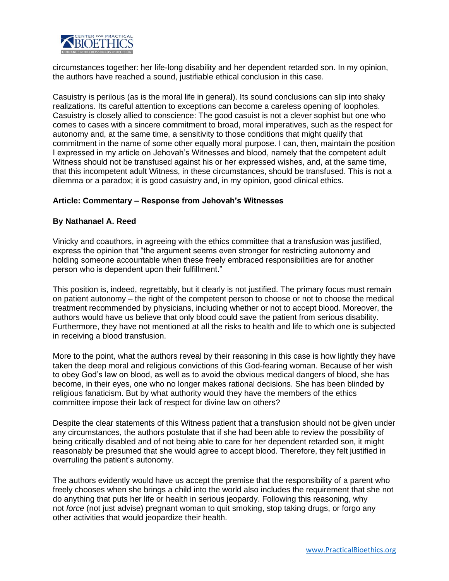

circumstances together: her life-long disability and her dependent retarded son. In my opinion, the authors have reached a sound, justifiable ethical conclusion in this case.

Casuistry is perilous (as is the moral life in general). Its sound conclusions can slip into shaky realizations. Its careful attention to exceptions can become a careless opening of loopholes. Casuistry is closely allied to conscience: The good casuist is not a clever sophist but one who comes to cases with a sincere commitment to broad, moral imperatives, such as the respect for autonomy and, at the same time, a sensitivity to those conditions that might qualify that commitment in the name of some other equally moral purpose. I can, then, maintain the position I expressed in my article on Jehovah's Witnesses and blood, namely that the competent adult Witness should not be transfused against his or her expressed wishes, and, at the same time, that this incompetent adult Witness, in these circumstances, should be transfused. This is not a dilemma or a paradox; it is good casuistry and, in my opinion, good clinical ethics.

### **Article: Commentary – Response from Jehovah's Witnesses**

## **By Nathanael A. Reed**

Vinicky and coauthors, in agreeing with the ethics committee that a transfusion was justified, express the opinion that "the argument seems even stronger for restricting autonomy and holding someone accountable when these freely embraced responsibilities are for another person who is dependent upon their fulfillment."

This position is, indeed, regrettably, but it clearly is not justified. The primary focus must remain on patient autonomy – the right of the competent person to choose or not to choose the medical treatment recommended by physicians, including whether or not to accept blood. Moreover, the authors would have us believe that only blood could save the patient from serious disability. Furthermore, they have not mentioned at all the risks to health and life to which one is subjected in receiving a blood transfusion.

More to the point, what the authors reveal by their reasoning in this case is how lightly they have taken the deep moral and religious convictions of this God-fearing woman. Because of her wish to obey God's law on blood, as well as to avoid the obvious medical dangers of blood, she has become, in their eyes, one who no longer makes rational decisions. She has been blinded by religious fanaticism. But by what authority would they have the members of the ethics committee impose their lack of respect for divine law on others?

Despite the clear statements of this Witness patient that a transfusion should not be given under any circumstances, the authors postulate that if she had been able to review the possibility of being critically disabled and of not being able to care for her dependent retarded son, it might reasonably be presumed that she would agree to accept blood. Therefore, they felt justified in overruling the patient's autonomy.

The authors evidently would have us accept the premise that the responsibility of a parent who freely chooses when she brings a child into the world also includes the requirement that she not do anything that puts her life or health in serious jeopardy. Following this reasoning, why not *force* (not just advise) pregnant woman to quit smoking, stop taking drugs, or forgo any other activities that would jeopardize their health.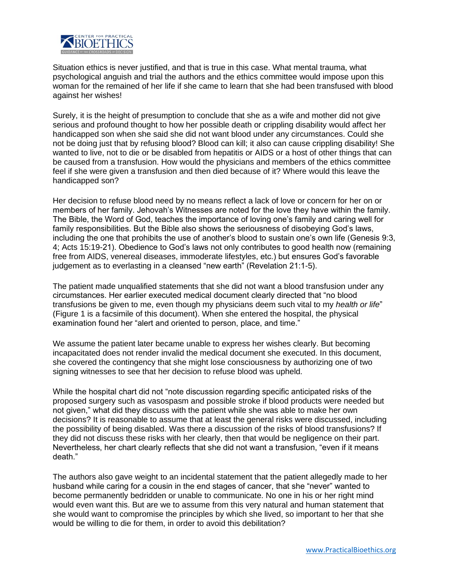

Situation ethics is never justified, and that is true in this case. What mental trauma, what psychological anguish and trial the authors and the ethics committee would impose upon this woman for the remained of her life if she came to learn that she had been transfused with blood against her wishes!

Surely, it is the height of presumption to conclude that she as a wife and mother did not give serious and profound thought to how her possible death or crippling disability would affect her handicapped son when she said she did not want blood under any circumstances. Could she not be doing just that by refusing blood? Blood can kill; it also can cause crippling disability! She wanted to live, not to die or be disabled from hepatitis or AIDS or a host of other things that can be caused from a transfusion. How would the physicians and members of the ethics committee feel if she were given a transfusion and then died because of it? Where would this leave the handicapped son?

Her decision to refuse blood need by no means reflect a lack of love or concern for her on or members of her family. Jehovah's Witnesses are noted for the love they have within the family. The Bible, the Word of God, teaches the importance of loving one's family and caring well for family responsibilities. But the Bible also shows the seriousness of disobeying God's laws, including the one that prohibits the use of another's blood to sustain one's own life (Genesis 9:3, 4; Acts 15:19-21). Obedience to God's laws not only contributes to good health now (remaining free from AIDS, venereal diseases, immoderate lifestyles, etc.) but ensures God's favorable judgement as to everlasting in a cleansed "new earth" (Revelation 21:1-5).

The patient made unqualified statements that she did not want a blood transfusion under any circumstances. Her earlier executed medical document clearly directed that "no blood transfusions be given to me, even though my physicians deem such vital to my *health or life*" (Figure 1 is a facsimile of this document). When she entered the hospital, the physical examination found her "alert and oriented to person, place, and time."

We assume the patient later became unable to express her wishes clearly. But becoming incapacitated does not render invalid the medical document she executed. In this document, she covered the contingency that she might lose consciousness by authorizing one of two signing witnesses to see that her decision to refuse blood was upheld.

While the hospital chart did not "note discussion regarding specific anticipated risks of the proposed surgery such as vasospasm and possible stroke if blood products were needed but not given," what did they discuss with the patient while she was able to make her own decisions? It is reasonable to assume that at least the general risks were discussed, including the possibility of being disabled. Was there a discussion of the risks of blood transfusions? If they did not discuss these risks with her clearly, then that would be negligence on their part. Nevertheless, her chart clearly reflects that she did not want a transfusion, "even if it means death."

The authors also gave weight to an incidental statement that the patient allegedly made to her husband while caring for a cousin in the end stages of cancer, that she "never" wanted to become permanently bedridden or unable to communicate. No one in his or her right mind would even want this. But are we to assume from this very natural and human statement that she would want to compromise the principles by which she lived, so important to her that she would be willing to die for them, in order to avoid this debilitation?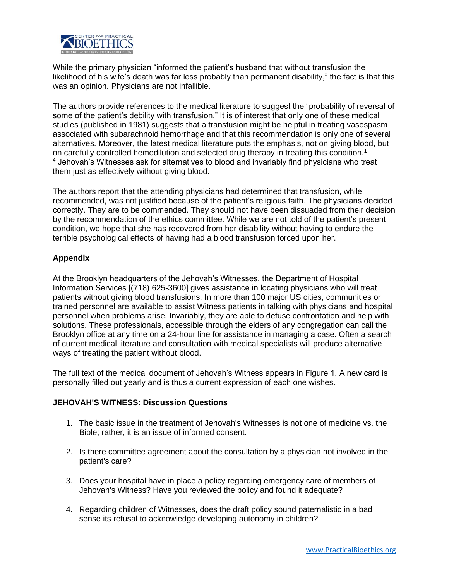

While the primary physician "informed the patient's husband that without transfusion the likelihood of his wife's death was far less probably than permanent disability," the fact is that this was an opinion. Physicians are not infallible.

The authors provide references to the medical literature to suggest the "probability of reversal of some of the patient's debility with transfusion." It is of interest that only one of these medical studies (published in 1981) suggests that a transfusion might be helpful in treating vasospasm associated with subarachnoid hemorrhage and that this recommendation is only one of several alternatives. Moreover, the latest medical literature puts the emphasis, not on giving blood, but on carefully controlled hemodilution and selected drug therapy in treating this condition.1- <sup>4</sup> Jehovah's Witnesses ask for alternatives to blood and invariably find physicians who treat them just as effectively without giving blood.

The authors report that the attending physicians had determined that transfusion, while recommended, was not justified because of the patient's religious faith. The physicians decided correctly. They are to be commended. They should not have been dissuaded from their decision by the recommendation of the ethics committee. While we are not told of the patient's present condition, we hope that she has recovered from her disability without having to endure the terrible psychological effects of having had a blood transfusion forced upon her.

## **Appendix**

At the Brooklyn headquarters of the Jehovah's Witnesses, the Department of Hospital Information Services [(718) 625-3600] gives assistance in locating physicians who will treat patients without giving blood transfusions. In more than 100 major US cities, communities or trained personnel are available to assist Witness patients in talking with physicians and hospital personnel when problems arise. Invariably, they are able to defuse confrontation and help with solutions. These professionals, accessible through the elders of any congregation can call the Brooklyn office at any time on a 24-hour line for assistance in managing a case. Often a search of current medical literature and consultation with medical specialists will produce alternative ways of treating the patient without blood.

The full text of the medical document of Jehovah's Witness appears in Figure 1. A new card is personally filled out yearly and is thus a current expression of each one wishes.

## **JEHOVAH'S WITNESS: Discussion Questions**

- 1. The basic issue in the treatment of Jehovah's Witnesses is not one of medicine vs. the Bible; rather, it is an issue of informed consent.
- 2. Is there committee agreement about the consultation by a physician not involved in the patient's care?
- 3. Does your hospital have in place a policy regarding emergency care of members of Jehovah's Witness? Have you reviewed the policy and found it adequate?
- 4. Regarding children of Witnesses, does the draft policy sound paternalistic in a bad sense its refusal to acknowledge developing autonomy in children?